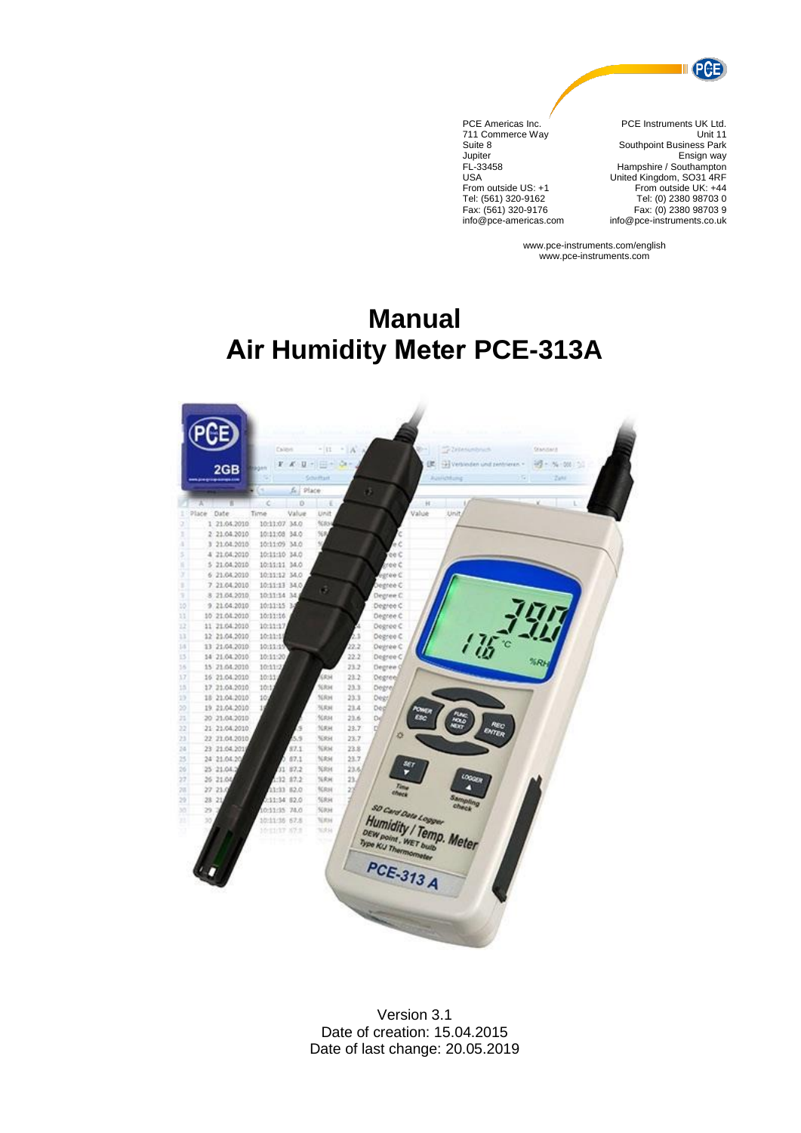

PCE Americas Inc. 711 Commerce Way Suite 8 Jupiter FL-33458 USA From outside US: +1 Tel: (561) 320-9162 Fax: (561) 320-9176 info@pce-americas.com

PCE Instruments UK Ltd. Unit 11 Southpoint Business Park Ensign way Hampshire / Southampton United Kingdom, SO31 4RF From outside UK: +44 Tel: (0) 2380 98703 0 Fax: (0) 2380 98703 9 info@pce-instruments.co.uk

www.pce-instruments.com/english www.pce-instruments.com

# **Manual Air Humidity Meter PCE-313A**



Version 3.1 Date of creation: 15.04.2015 Date of last change: 20.05.2019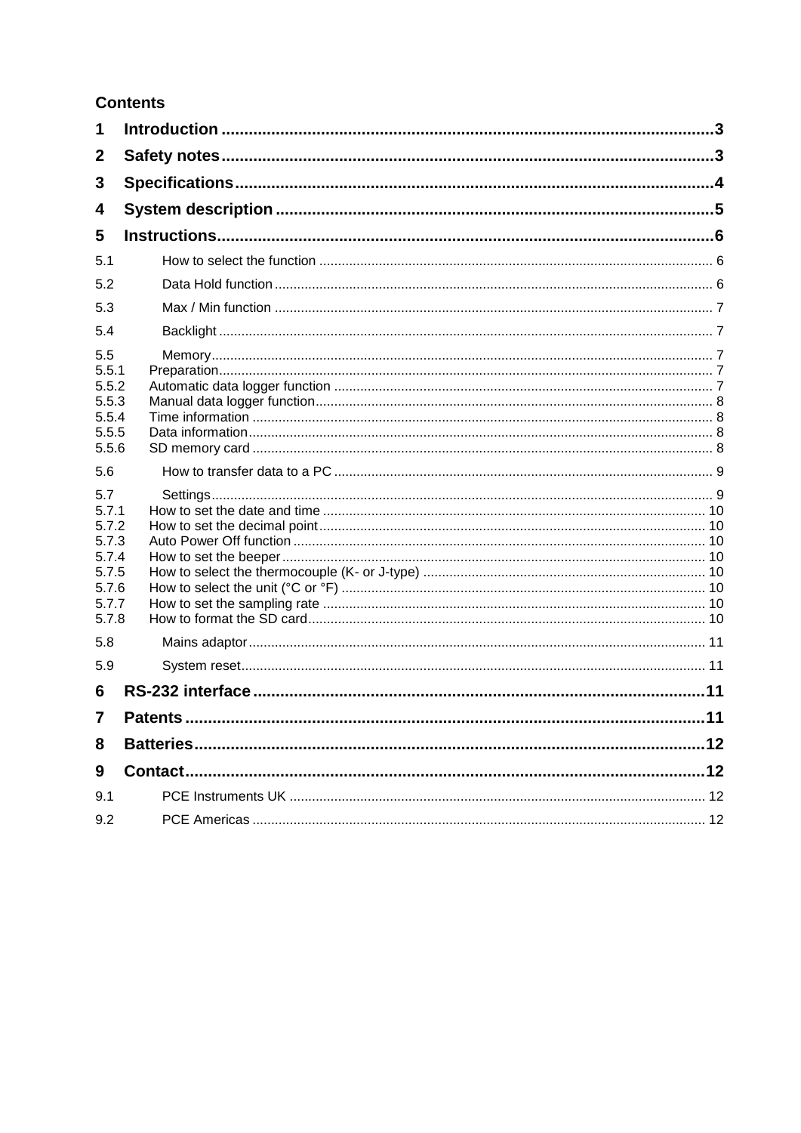# **Contents**

| 1                                                                           |  |
|-----------------------------------------------------------------------------|--|
| $\mathbf{2}$                                                                |  |
| 3                                                                           |  |
| 4                                                                           |  |
| 5                                                                           |  |
| 5.1                                                                         |  |
| 5.2                                                                         |  |
| 5.3                                                                         |  |
| 5.4                                                                         |  |
| 5.5<br>5.5.1<br>5.5.2<br>5.5.3<br>5.5.4<br>5.5.5<br>5.5.6                   |  |
| 5.6                                                                         |  |
| 5.7<br>5.7.1<br>5.7.2<br>5.7.3<br>5.7.4<br>5.7.5<br>5.7.6<br>5.7.7<br>5.7.8 |  |
| 5.8                                                                         |  |
| 5.9                                                                         |  |
| 6                                                                           |  |
| 7                                                                           |  |
| 8                                                                           |  |
| 9                                                                           |  |
| 9.1                                                                         |  |
| 9.2                                                                         |  |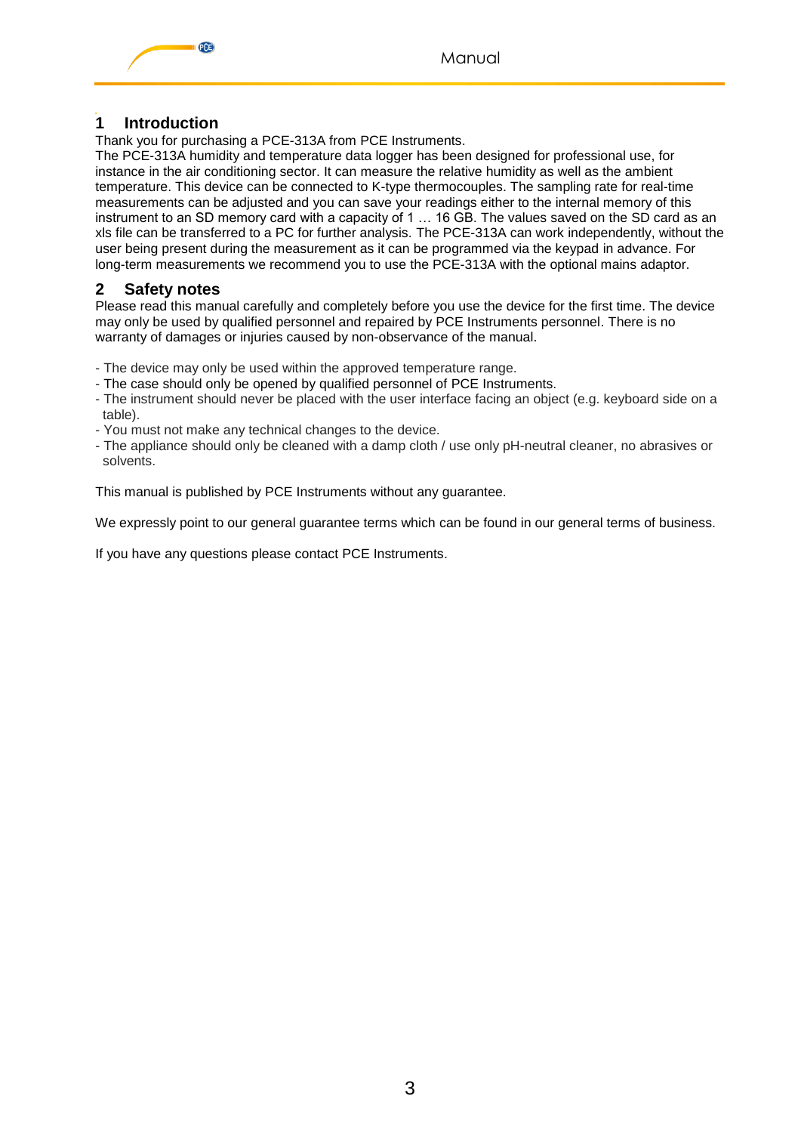

# <span id="page-2-0"></span>**1 Introduction**

Thank you for purchasing a PCE-313A from PCE Instruments.

The PCE-313A humidity and temperature data logger has been designed for professional use, for instance in the air conditioning sector. It can measure the relative humidity as well as the ambient temperature. This device can be connected to K-type thermocouples. The sampling rate for real-time measurements can be adjusted and you can save your readings either to the internal memory of this instrument to an SD memory card with a capacity of 1 … 16 GB. The values saved on the SD card as an xls file can be transferred to a PC for further analysis. The PCE-313A can work independently, without the user being present during the measurement as it can be programmed via the keypad in advance. For long-term measurements we recommend you to use the PCE-313A with the optional mains adaptor.

# <span id="page-2-1"></span>**2 Safety notes**

Please read this manual carefully and completely before you use the device for the first time. The device may only be used by qualified personnel and repaired by PCE Instruments personnel. There is no warranty of damages or injuries caused by non-observance of the manual.

- The device may only be used within the approved temperature range.
- The case should only be opened by qualified personnel of PCE Instruments.
- The instrument should never be placed with the user interface facing an object (e.g. keyboard side on a table).
- You must not make any technical changes to the device.
- The appliance should only be cleaned with a damp cloth / use only pH-neutral cleaner, no abrasives or solvents.

This manual is published by PCE Instruments without any guarantee.

We expressly point to our general guarantee terms which can be found in our general terms of business.

If you have any questions please contact PCE Instruments.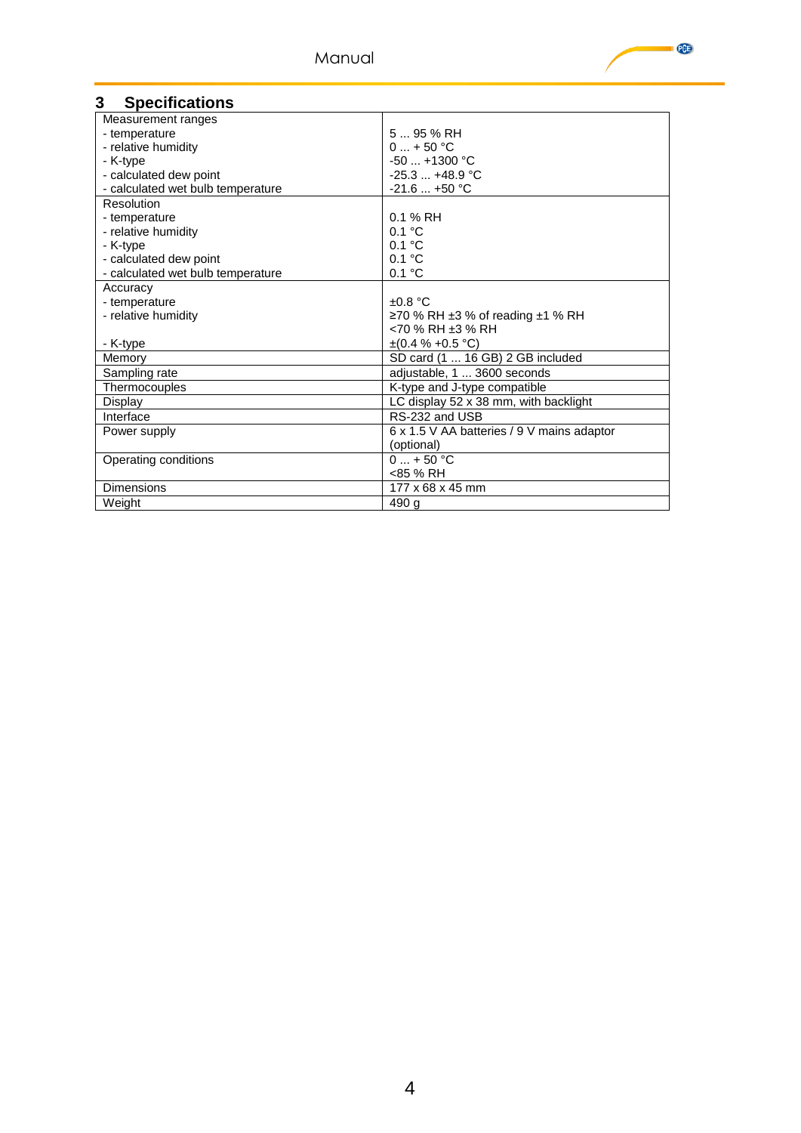

## <span id="page-3-0"></span>**3 Specifications**

| Measurement ranges                |                                                  |
|-----------------------------------|--------------------------------------------------|
| - temperature                     | $595%$ RH                                        |
| - relative humidity               | $0 + 50 °C$                                      |
| - K-type                          | $-50$ +1300 °C                                   |
| - calculated dew point            | $-25.3$ $+48.9$ °C                               |
| - calculated wet bulb temperature | $-21.6+50$ °C                                    |
| Resolution                        |                                                  |
| - temperature                     | $0.1%$ RH                                        |
| - relative humidity               | $0.1 \text{ }^{\circ}$ C                         |
| - K-type                          | 0.1 °C                                           |
| - calculated dew point            | 0.1 °C                                           |
| - calculated wet bulb temperature | 0.1 °C                                           |
| Accuracy                          |                                                  |
| - temperature                     | $\pm 0.8$ °C                                     |
| - relative humidity               | $\geq$ 70 % RH $\pm$ 3 % of reading $\pm$ 1 % RH |
|                                   | $<$ 70 % RH $±3$ % RH                            |
| - K-type                          | $\pm (0.4 \% + 0.5 °C)$                          |
| Memory                            | SD card (1  16 GB) 2 GB included                 |
| Sampling rate                     | adjustable, 1  3600 seconds                      |
| Thermocouples                     | K-type and J-type compatible                     |
| Display                           | LC display 52 x 38 mm, with backlight            |
| Interface                         | RS-232 and USB                                   |
| Power supply                      | 6 x 1.5 V AA batteries / 9 V mains adaptor       |
|                                   | (optional)                                       |
| Operating conditions              | $0 + 50 °C$                                      |
|                                   | <85 % RH                                         |
| <b>Dimensions</b>                 | 177 x 68 x 45 mm                                 |
| Weight                            | 490 g                                            |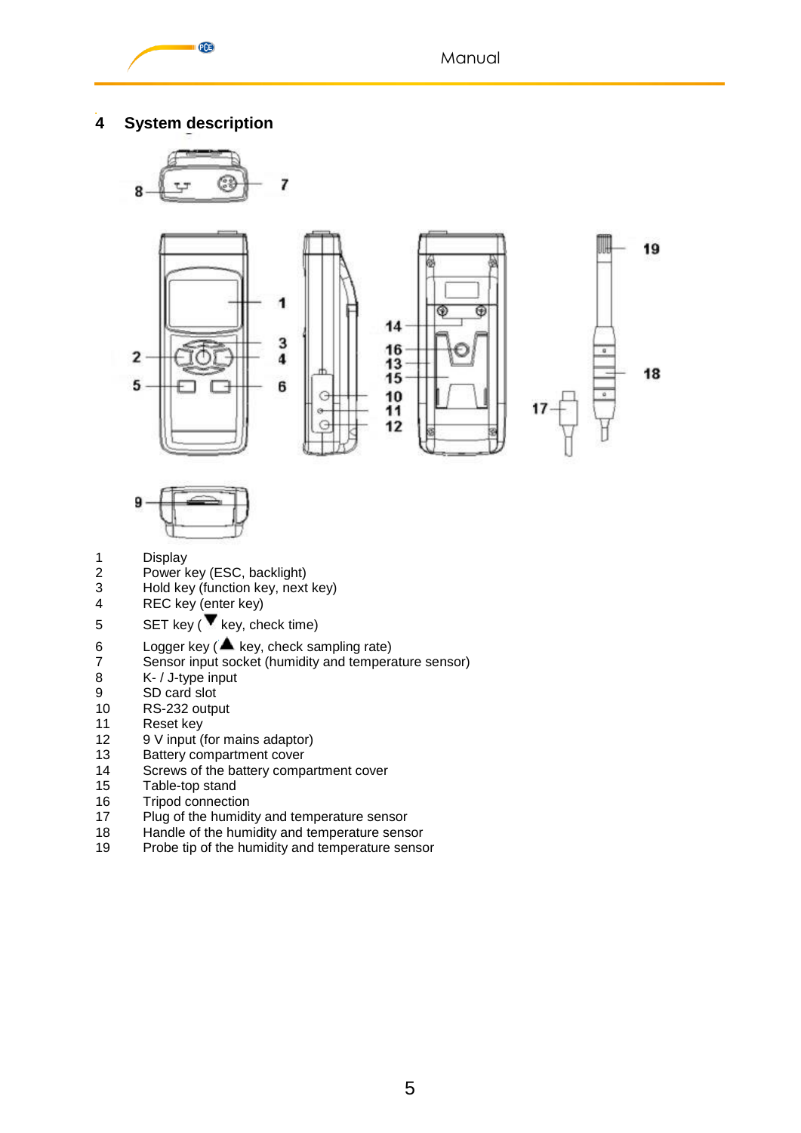

# <span id="page-4-0"></span>**4 System description**





- 
- 1 Display<br>2 Power k 2 Power key (ESC, backlight)<br>3 Hold key (function key, next
- 3 Hold key (function key, next key)<br>4 REC key (enter key)
- REC key (enter key)
- 5 SET key ( $\blacktriangledown$  key, check time)
- 6 Logger key ( $\triangle$  key, check sampling rate)<br>7 Sensor input socket (humidity and tempera
- 7 Sensor input socket (humidity and temperature sensor)<br>8 K- / J-type input
- K- / J-type input
- 9 SD card slot<br>10 RS-232 outp
- 10 RS-232 output<br>11 Reset kev
- Reset key
- 12 9 V input (for mains adaptor)
- 13 Battery compartment cover
- 14 Screws of the battery compartment cover
- 15 Table-top stand<br>16 Tripod connectic
- 16 Tripod connection<br>17 Plug of the humidition
- 17 Plug of the humidity and temperature sensor<br>18 Handle of the humidity and temperature sens
- 18 Handle of the humidity and temperature sensor<br>19 Probe tip of the humidity and temperature sensor
- Probe tip of the humidity and temperature sensor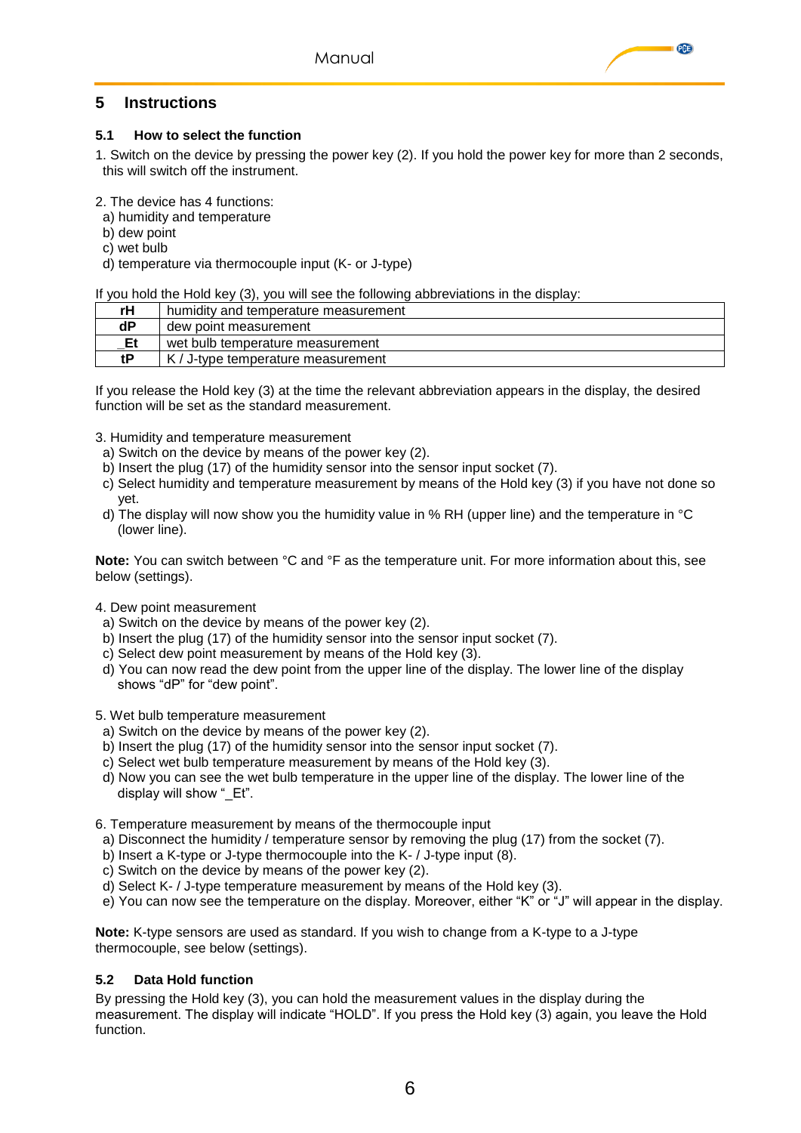## <span id="page-5-0"></span>**5 Instructions**

#### <span id="page-5-1"></span>**5.1 How to select the function**

1. Switch on the device by pressing the power key (2). If you hold the power key for more than 2 seconds, this will switch off the instrument.

**PGB** 

2. The device has 4 functions:

- a) humidity and temperature
- b) dew point
- c) wet bulb
- d) temperature via thermocouple input (K- or J-type)

If you hold the Hold key (3), you will see the following abbreviations in the display:

| rН | humidity and temperature measurement |
|----|--------------------------------------|
| dP | dew point measurement                |
| Et | wet bulb temperature measurement     |
| ŧΡ | $K/J$ -type temperature measurement  |

If you release the Hold key (3) at the time the relevant abbreviation appears in the display, the desired function will be set as the standard measurement.

- 3. Humidity and temperature measurement
- a) Switch on the device by means of the power key (2).
- b) Insert the plug (17) of the humidity sensor into the sensor input socket (7).
- c) Select humidity and temperature measurement by means of the Hold key (3) if you have not done so yet.
- d) The display will now show you the humidity value in % RH (upper line) and the temperature in °C (lower line).

**Note:** You can switch between °C and °F as the temperature unit. For more information about this, see below (settings).

- 4. Dew point measurement
- a) Switch on the device by means of the power key (2).
- b) Insert the plug (17) of the humidity sensor into the sensor input socket (7).
- c) Select dew point measurement by means of the Hold key (3).
- d) You can now read the dew point from the upper line of the display. The lower line of the display shows "dP" for "dew point".

5. Wet bulb temperature measurement

- a) Switch on the device by means of the power key (2).
- b) Insert the plug (17) of the humidity sensor into the sensor input socket (7).
- c) Select wet bulb temperature measurement by means of the Hold key (3).
- d) Now you can see the wet bulb temperature in the upper line of the display. The lower line of the display will show " Et".

6. Temperature measurement by means of the thermocouple input

- a) Disconnect the humidity / temperature sensor by removing the plug (17) from the socket (7).
- b) Insert a K-type or J-type thermocouple into the K- / J-type input (8).
- c) Switch on the device by means of the power key (2).
- d) Select K- / J-type temperature measurement by means of the Hold key (3).
- e) You can now see the temperature on the display. Moreover, either "K" or "J" will appear in the display.

**Note:** K-type sensors are used as standard. If you wish to change from a K-type to a J-type thermocouple, see below (settings).

#### <span id="page-5-2"></span>**5.2 Data Hold function**

By pressing the Hold key (3), you can hold the measurement values in the display during the measurement. The display will indicate "HOLD". If you press the Hold key (3) again, you leave the Hold function.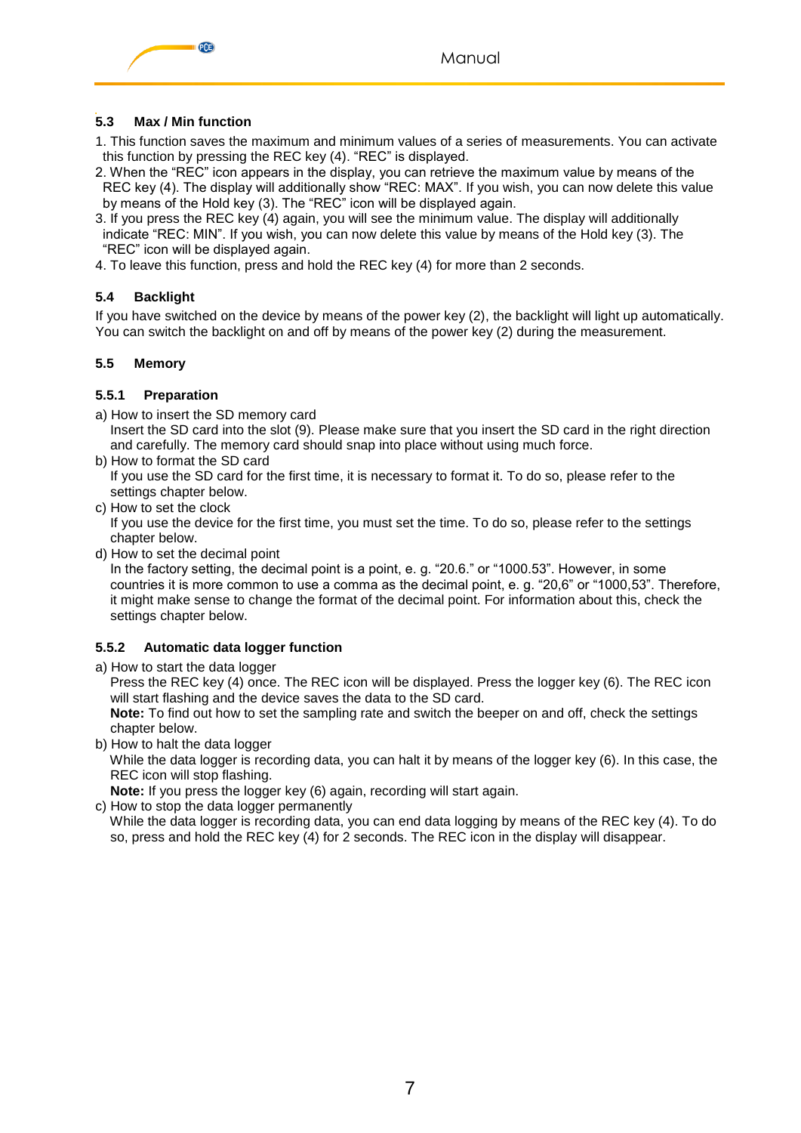



## <span id="page-6-0"></span>**5.3 Max / Min function**

- 1. This function saves the maximum and minimum values of a series of measurements. You can activate this function by pressing the REC key (4). "REC" is displayed.
- 2. When the "REC" icon appears in the display, you can retrieve the maximum value by means of the REC key (4). The display will additionally show "REC: MAX". If you wish, you can now delete this value by means of the Hold key (3). The "REC" icon will be displayed again.
- 3. If you press the REC key (4) again, you will see the minimum value. The display will additionally indicate "REC: MIN". If you wish, you can now delete this value by means of the Hold key (3). The "REC" icon will be displayed again.
- 4. To leave this function, press and hold the REC key (4) for more than 2 seconds.

## <span id="page-6-1"></span>**5.4 Backlight**

If you have switched on the device by means of the power key (2), the backlight will light up automatically. You can switch the backlight on and off by means of the power key (2) during the measurement.

#### <span id="page-6-2"></span>**5.5 Memory**

#### <span id="page-6-3"></span>**5.5.1 Preparation**

a) How to insert the SD memory card

 Insert the SD card into the slot (9). Please make sure that you insert the SD card in the right direction and carefully. The memory card should snap into place without using much force.

b) How to format the SD card

 If you use the SD card for the first time, it is necessary to format it. To do so, please refer to the settings chapter below.

c) How to set the clock

 If you use the device for the first time, you must set the time. To do so, please refer to the settings chapter below.

d) How to set the decimal point

 In the factory setting, the decimal point is a point, e. g. "20.6." or "1000.53". However, in some countries it is more common to use a comma as the decimal point, e. g. "20,6" or "1000,53". Therefore, it might make sense to change the format of the decimal point. For information about this, check the settings chapter below.

## <span id="page-6-4"></span>**5.5.2 Automatic data logger function**

a) How to start the data logger

 Press the REC key (4) once. The REC icon will be displayed. Press the logger key (6). The REC icon will start flashing and the device saves the data to the SD card.

 **Note:** To find out how to set the sampling rate and switch the beeper on and off, check the settings chapter below.

b) How to halt the data logger

 While the data logger is recording data, you can halt it by means of the logger key (6). In this case, the REC icon will stop flashing.

**Note:** If you press the logger key (6) again, recording will start again.

c) How to stop the data logger permanently

 While the data logger is recording data, you can end data logging by means of the REC key (4). To do so, press and hold the REC key (4) for 2 seconds. The REC icon in the display will disappear.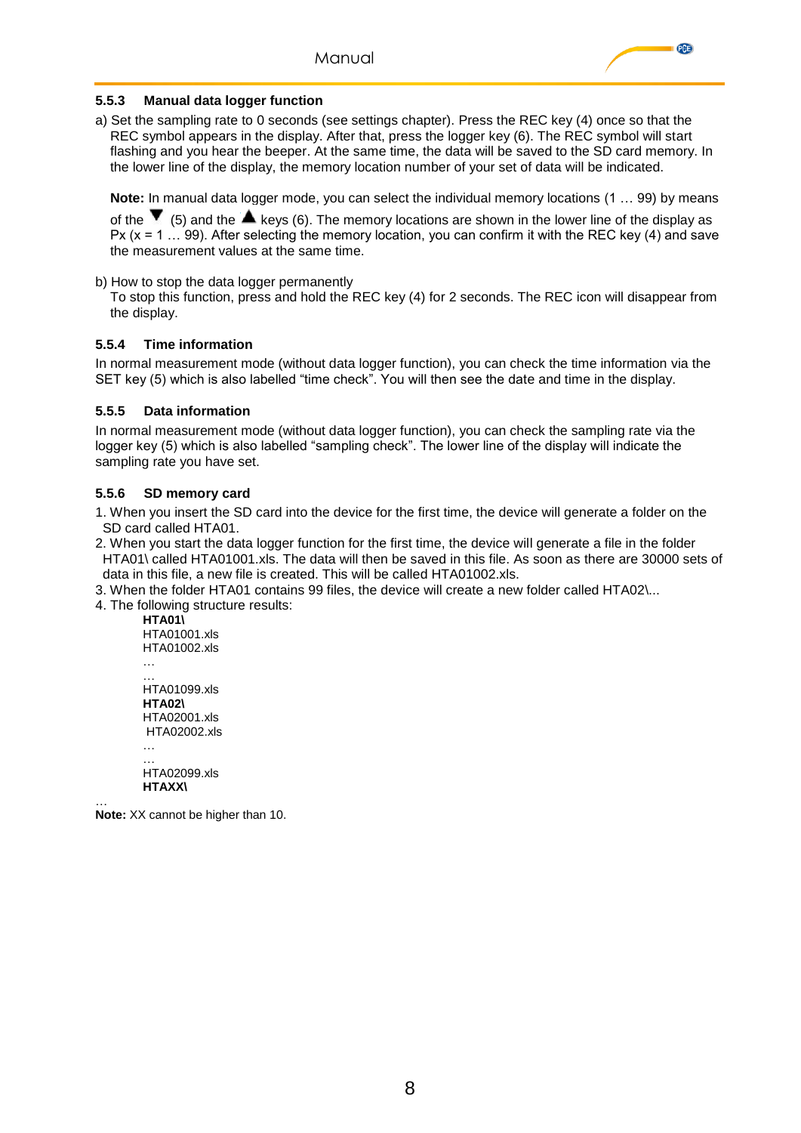

#### <span id="page-7-0"></span>**5.5.3 Manual data logger function**

a) Set the sampling rate to 0 seconds (see settings chapter). Press the REC key (4) once so that the REC symbol appears in the display. After that, press the logger key (6). The REC symbol will start flashing and you hear the beeper. At the same time, the data will be saved to the SD card memory. In the lower line of the display, the memory location number of your set of data will be indicated.

**Note:** In manual data logger mode, you can select the individual memory locations (1 … 99) by means

of the  $\blacktriangledown$  (5) and the  $\blacktriangle$  keys (6). The memory locations are shown in the lower line of the display as Px (x = 1 … 99). After selecting the memory location, you can confirm it with the REC key (4) and save the measurement values at the same time.

b) How to stop the data logger permanently

 To stop this function, press and hold the REC key (4) for 2 seconds. The REC icon will disappear from the display.

#### <span id="page-7-1"></span>**5.5.4 Time information**

In normal measurement mode (without data logger function), you can check the time information via the SET key (5) which is also labelled "time check". You will then see the date and time in the display.

#### <span id="page-7-2"></span>**5.5.5 Data information**

In normal measurement mode (without data logger function), you can check the sampling rate via the logger key (5) which is also labelled "sampling check". The lower line of the display will indicate the sampling rate you have set.

#### <span id="page-7-3"></span>**5.5.6 SD memory card**

1. When you insert the SD card into the device for the first time, the device will generate a folder on the SD card called HTA01.

2. When you start the data logger function for the first time, the device will generate a file in the folder HTA01\ called HTA01001.xls. The data will then be saved in this file. As soon as there are 30000 sets of data in this file, a new file is created. This will be called HTA01002.xls.

3. When the folder HTA01 contains 99 files, the device will create a new folder called HTA02\...

4. The following structure results:

**HTA01\** HTA01001.xls HTA01002.xls … … HTA01099.xls **HTA02\** HTA02001.xls HTA02002.xls … … HTA02099.xls **HTAXX\**

… **Note:** XX cannot be higher than 10.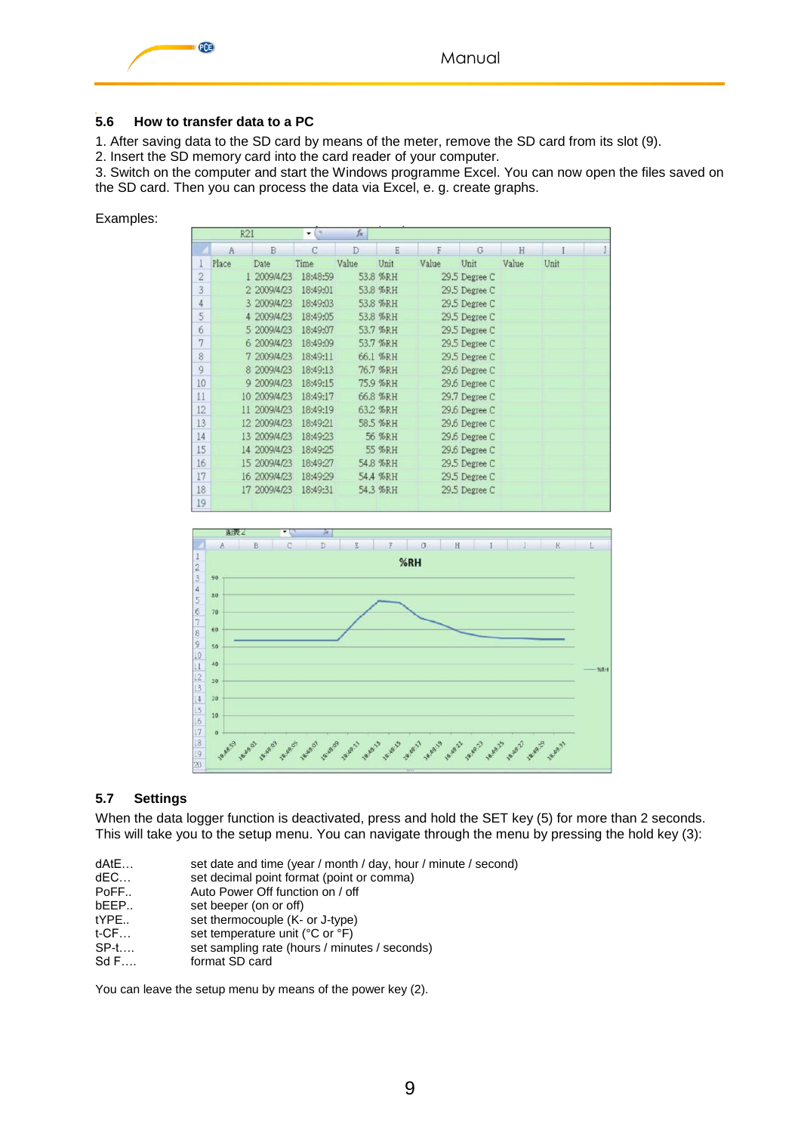

#### <span id="page-8-0"></span>**5.6 How to transfer data to a PC**

1. After saving data to the SD card by means of the meter, remove the SD card from its slot (9).

2. Insert the SD memory card into the card reader of your computer.

3. Switch on the computer and start the Windows programme Excel. You can now open the files saved on the SD card. Then you can process the data via Excel, e. g. create graphs.

Examples:

|    | R21   |              | O        | $f_x$ |          |       |               |       |      |  |
|----|-------|--------------|----------|-------|----------|-------|---------------|-------|------|--|
|    | A     | B            | C        | D     | E        | F     | G             | H     |      |  |
|    | Place | Date         | Time     | Value | Unit     | Value | Unit          | Value | Unit |  |
| 2  |       | 1 2009/4/23  | 18:48:59 |       | 53.8 %RH |       | 29.5 Degree C |       |      |  |
| 3  |       | 2 2009/4/23  | 18:49:01 |       | 53.8 %RH |       | 29.5 Degree C |       |      |  |
| 4  |       | 3 2009/4/23  | 18:49:03 |       | 53.8 %RH |       | 29.5 Degree C |       |      |  |
| 5  |       | 4 2009/4/23  | 18:49:05 |       | 53.8 %RH |       | 29.5 Degree C |       |      |  |
| 6  |       | 5 2009/4/23  | 18:49:07 |       | 53.7 %RH |       | 29.5 Degree C |       |      |  |
| 7  |       | 6 2009/4/23  | 18:49:09 |       | 53.7 %RH |       | 29.5 Degree C |       |      |  |
| 8  |       | 7 2009/4/23  | 18:49:11 |       | 66.1 %RH |       | 29.5 Degree C |       |      |  |
| 9  |       | 8 2009/4/23  | 18:49:13 |       | 76.7 %RH |       | 29.6 Degree C |       |      |  |
| 10 |       | 9 2009/4/23  | 18:49:15 |       | 75.9 %RH |       | 29.6 Degree C |       |      |  |
| 11 |       | 10 2009/4/23 | 18:49:17 |       | 66.8 %RH |       | 29.7 Degree C |       |      |  |
| 12 | 11    | 2009/4/23    | 18:49:19 |       | 63.2 %RH |       | 29.6 Degree C |       |      |  |
| 13 |       | 12 2009/4/23 | 18:49:21 |       | 58.5 %RH |       | 29.6 Degree C |       |      |  |
| 14 |       | 13 2009/4/23 | 18:49:23 |       | 56 %RH   |       | 29.6 Degree C |       |      |  |
| 15 |       | 14 2009/4/23 | 18:49:25 |       | 55 %RH   |       | 29.6 Degree C |       |      |  |
| 16 |       | 15 2009/4/23 | 18:49:27 |       | 54.8 %RH |       | 29.5 Degree C |       |      |  |
| 17 |       | 16 2009/4/23 | 18:49:29 |       | 54.4 %RH |       | 29.5 Degree C |       |      |  |
| 18 |       | 17 2009/4/23 | 18:49:31 |       | 54.3 %RH |       | 29.5 Degree C |       |      |  |
| 19 |       |              |          |       |          |       |               |       |      |  |



#### <span id="page-8-1"></span>**5.7 Settings**

When the data logger function is deactivated, press and hold the SET key (5) for more than 2 seconds. This will take you to the setup menu. You can navigate through the menu by pressing the hold key (3):

| dAtE<br>dEC… | set date and time (year / month / day, hour / minute / second)<br>set decimal point format (point or comma) |
|--------------|-------------------------------------------------------------------------------------------------------------|
| PoFF         | Auto Power Off function on / off                                                                            |
| bEEP         | set beeper (on or off)                                                                                      |
| tYPE         | set thermocouple (K- or J-type)                                                                             |
| t-CF…        | set temperature unit (°C or °F)                                                                             |
| $SP-t$       | set sampling rate (hours / minutes / seconds)                                                               |
| Sd F         | format SD card                                                                                              |
|              |                                                                                                             |
|              |                                                                                                             |

You can leave the setup menu by means of the power key (2).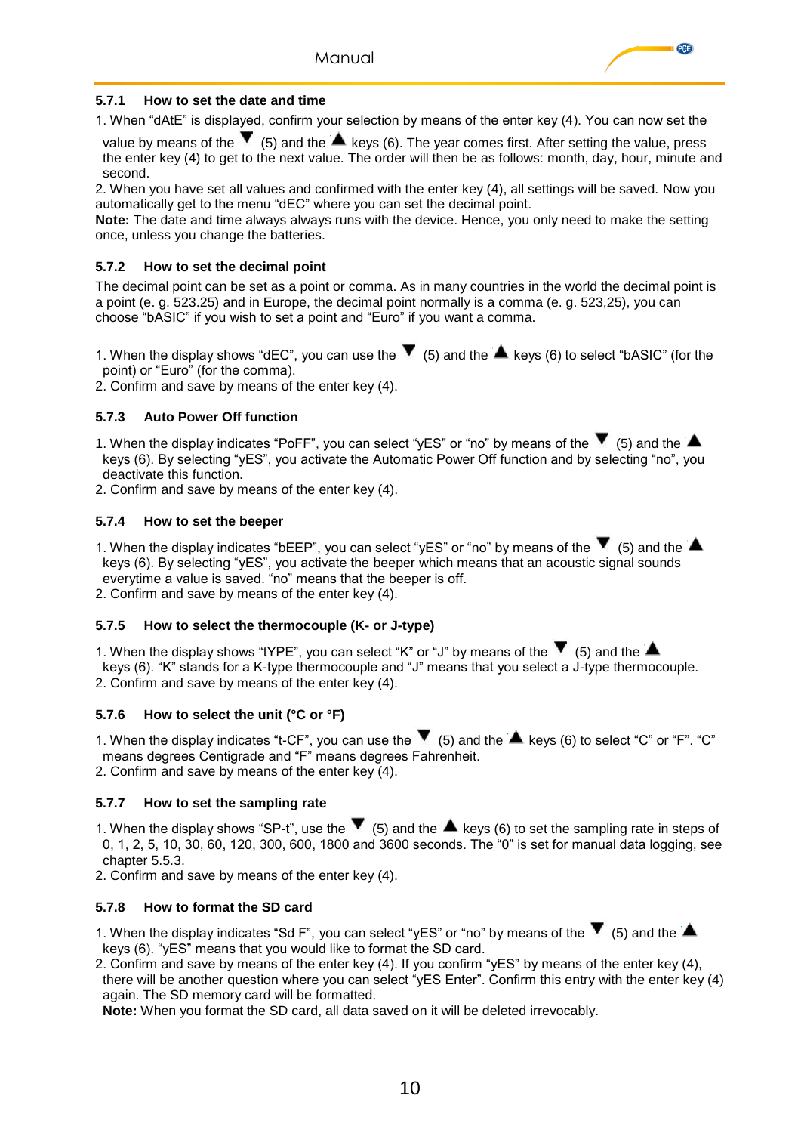

#### <span id="page-9-0"></span>**5.7.1 How to set the date and time**

1. When "dAtE" is displayed, confirm your selection by means of the enter key (4). You can now set the

value by means of the  $\blacktriangledown$  (5) and the  $\blacktriangle$  keys (6). The year comes first. After setting the value, press the enter key (4) to get to the next value. The order will then be as follows: month, day, hour, minute and second.

2. When you have set all values and confirmed with the enter key (4), all settings will be saved. Now you automatically get to the menu "dEC" where you can set the decimal point.

**Note:** The date and time always always runs with the device. Hence, you only need to make the setting once, unless you change the batteries.

#### <span id="page-9-1"></span>**5.7.2 How to set the decimal point**

The decimal point can be set as a point or comma. As in many countries in the world the decimal point is a point (e. g. 523.25) and in Europe, the decimal point normally is a comma (e. g. 523,25), you can choose "bASIC" if you wish to set a point and "Euro" if you want a comma.

1. When the display shows "dEC", you can use the  $\blacktriangledown$  (5) and the  $\blacktriangle$  keys (6) to select "bASIC" (for the point) or "Euro" (for the comma).

<span id="page-9-2"></span>2. Confirm and save by means of the enter key (4).

#### **5.7.3 Auto Power Off function**

1. When the display indicates "PoFF", you can select "yES" or "no" by means of the  $\blacktriangledown$  (5) and the  $\blacktriangle$  keys (6). By selecting "yES", you activate the Automatic Power Off function and by selecting "no", you deactivate this function.

<span id="page-9-3"></span>2. Confirm and save by means of the enter key (4).

#### **5.7.4 How to set the beeper**

1. When the display indicates "bEEP", you can select "yES" or "no" by means of the  $\blacktriangledown$  (5) and the  $\blacktriangle$  keys (6). By selecting "yES", you activate the beeper which means that an acoustic signal sounds everytime a value is saved. "no" means that the beeper is off.

<span id="page-9-4"></span>2. Confirm and save by means of the enter key (4).

#### **5.7.5 How to select the thermocouple (K- or J-type)**

1. When the display shows "tYPE", you can select "K" or "J" by means of the  $\blacktriangledown$  (5) and the  $\blacktriangle$  keys (6). "K" stands for a K-type thermocouple and "J" means that you select a J-type thermocouple. 2. Confirm and save by means of the enter key (4).

#### <span id="page-9-5"></span>**5.7.6 How to select the unit (°C or °F)**

1. When the display indicates "t-CF", you can use the  $\blacktriangledown$  (5) and the  $\blacktriangle$  keys (6) to select "C" or "F". "C" means degrees Centigrade and "F" means degrees Fahrenheit.

<span id="page-9-6"></span>2. Confirm and save by means of the enter key (4).

#### **5.7.7 How to set the sampling rate**

1. When the display shows "SP-t", use the  $\blacktriangledown$  (5) and the  $\blacktriangle$  keys (6) to set the sampling rate in steps of 0, 1, 2, 5, 10, 30, 60, 120, 300, 600, 1800 and 3600 seconds. The "0" is set for manual data logging, see chapter 5.5.3.

<span id="page-9-7"></span>2. Confirm and save by means of the enter key (4).

#### **5.7.8 How to format the SD card**

1. When the display indicates "Sd F", you can select "yES" or "no" by means of the  $\blacktriangledown$  (5) and the  $\blacktriangle$ keys (6). "yES" means that you would like to format the SD card.

2. Confirm and save by means of the enter key (4). If you confirm "yES" by means of the enter key (4), there will be another question where you can select "yES Enter". Confirm this entry with the enter key (4) again. The SD memory card will be formatted.

**Note:** When you format the SD card, all data saved on it will be deleted irrevocably.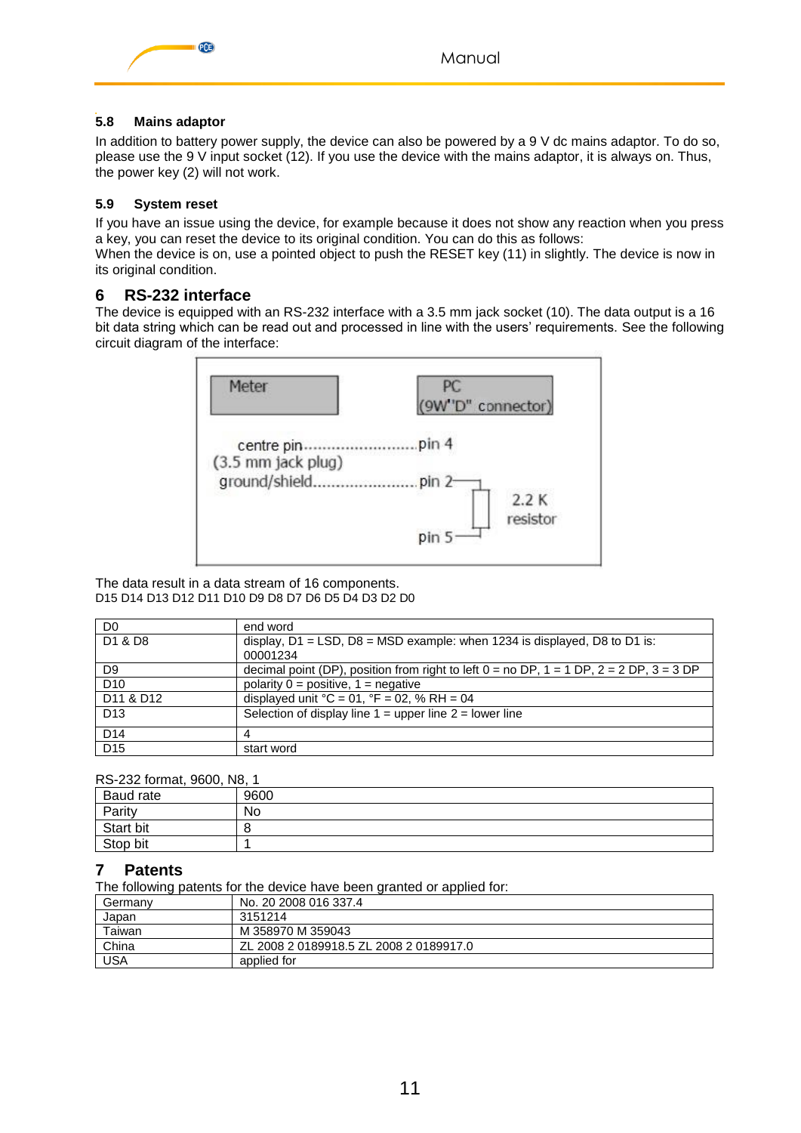



## <span id="page-10-0"></span>**5.8 Mains adaptor**

In addition to battery power supply, the device can also be powered by a 9 V dc mains adaptor. To do so, please use the 9 V input socket (12). If you use the device with the mains adaptor, it is always on. Thus, the power key (2) will not work.

## <span id="page-10-1"></span>**5.9 System reset**

If you have an issue using the device, for example because it does not show any reaction when you press a key, you can reset the device to its original condition. You can do this as follows:

When the device is on, use a pointed object to push the RESET key (11) in slightly. The device is now in its original condition.

## <span id="page-10-2"></span>**6 RS-232 interface**

The device is equipped with an RS-232 interface with a 3.5 mm jack socket (10). The data output is a 16 bit data string which can be read out and processed in line with the users' requirements. See the following circuit diagram of the interface:



The data result in a data stream of 16 components. D15 D14 D13 D12 D11 D10 D9 D8 D7 D6 D5 D4 D3 D2 D0

| D <sub>0</sub>                    | end word                                                                                        |
|-----------------------------------|-------------------------------------------------------------------------------------------------|
| D <sub>1</sub> & D <sub>8</sub>   | display, $D1 = LSD$ , $D8 = MSD$ example: when 1234 is displayed, D8 to D1 is:                  |
|                                   | 00001234                                                                                        |
| D <sub>9</sub>                    | decimal point (DP), position from right to left $0 =$ no DP, $1 = 1$ DP, $2 = 2$ DP, $3 = 3$ DP |
| D <sub>10</sub>                   | polarity $0 =$ positive, $1 =$ negative                                                         |
| D <sub>11</sub> & D <sub>12</sub> | displayed unit ${}^{\circ}C = 01$ , ${}^{\circ}F = 02$ , % RH = 04                              |
| D <sub>13</sub>                   | Selection of display line $1 =$ upper line $2 =$ lower line                                     |
| D <sub>14</sub>                   |                                                                                                 |
| D <sub>15</sub>                   | start word                                                                                      |

RS-232 format, 9600, N8, 1

| Baud rate | 9600 |
|-----------|------|
| Parity    | No   |
| Start bit | 8    |
| Stop bit  |      |

## <span id="page-10-3"></span>**7 Patents**

The following patents for the device have been granted or applied for:

| Germanv | No. 20 2008 016 337.4                   |
|---------|-----------------------------------------|
| Japan   | 3151214                                 |
| Taiwan  | M 358970 M 359043                       |
| China   | ZL 2008 2 0189918.5 ZL 2008 2 0189917.0 |
| USA     | applied for                             |